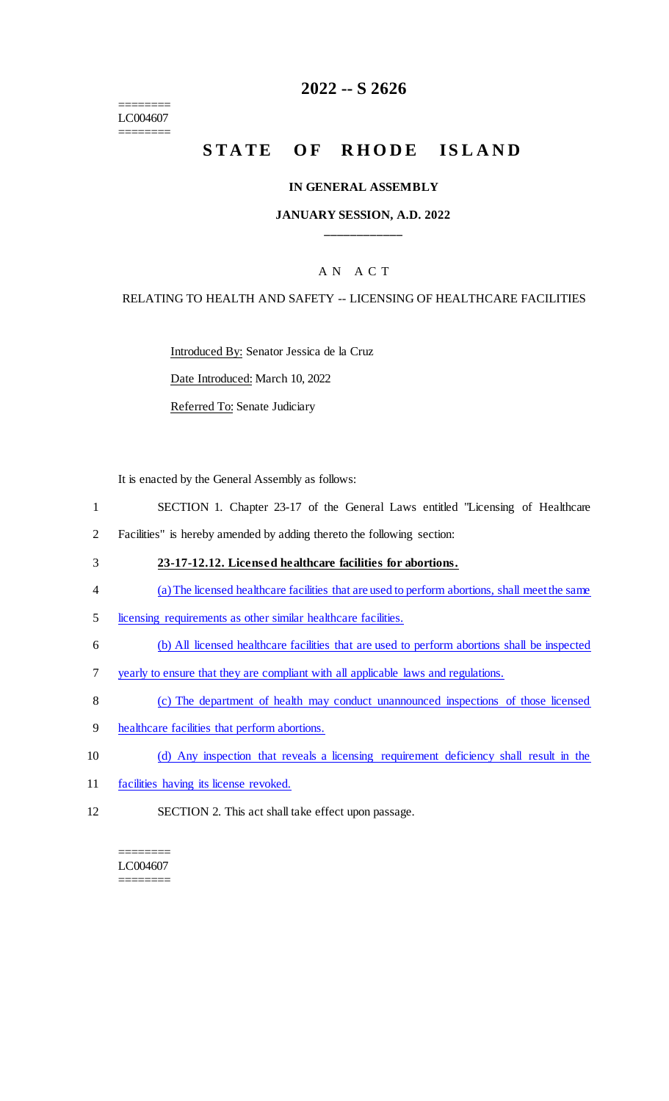======== LC004607 ========

# **2022 -- S 2626**

# **STATE OF RHODE ISLAND**

#### **IN GENERAL ASSEMBLY**

#### **JANUARY SESSION, A.D. 2022 \_\_\_\_\_\_\_\_\_\_\_\_**

### A N A C T

#### RELATING TO HEALTH AND SAFETY -- LICENSING OF HEALTHCARE FACILITIES

Introduced By: Senator Jessica de la Cruz

Date Introduced: March 10, 2022

Referred To: Senate Judiciary

It is enacted by the General Assembly as follows:

- 1 SECTION 1. Chapter 23-17 of the General Laws entitled "Licensing of Healthcare
- 2 Facilities" is hereby amended by adding thereto the following section:
- 3 **23-17-12.12. Licensed healthcare facilities for abortions.**
- 4 (a) The licensed healthcare facilities that are used to perform abortions, shall meet the same
- 5 licensing requirements as other similar healthcare facilities.
- 6 (b) All licensed healthcare facilities that are used to perform abortions shall be inspected
- 7 yearly to ensure that they are compliant with all applicable laws and regulations.
- 8 (c) The department of health may conduct unannounced inspections of those licensed
- 9 healthcare facilities that perform abortions.
- 10 (d) Any inspection that reveals a licensing requirement deficiency shall result in the
- 11 facilities having its license revoked.
- 12 SECTION 2. This act shall take effect upon passage.

======== LC004607 ========